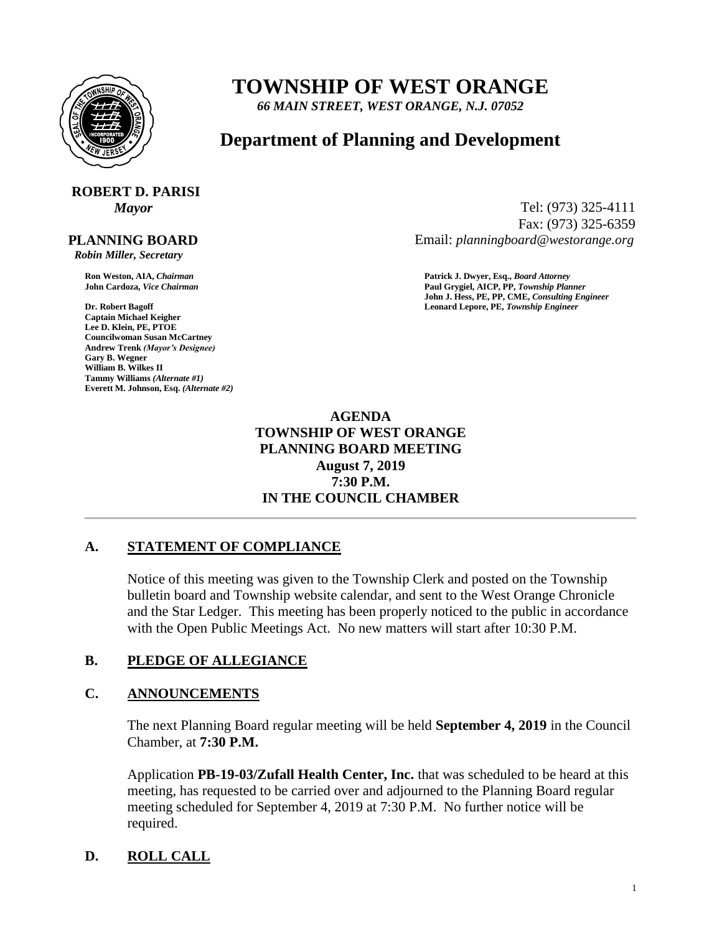

## **TOWNSHIP OF WEST ORANGE**

*66 MAIN STREET, WEST ORANGE, N.J. 07052*

### **Department of Planning and Development**

# **ROBERT D. PARISI**

 **PLANNING BOARD**

 *Robin Miller, Secretary*

**Captain Michael Keigher Lee D. Klein, PE, PTOE Councilwoman Susan McCartney Andrew Trenk** *(Mayor's Designee)* **Gary B. Wegner William B. Wilkes II Tammy Williams** *(Alternate #1)* **Everett M. Johnson, Esq.** *(Alternate #2)*

*Mayor* Tel: (973) 325-4111 Fax: (973) 325-6359 Email: *planningboard@westorange.org*

**Ron Weston, AIA,** *Chairman* **Patrick J. Dwyer, Esq.,** *Board Attorney* **John Cardoza,** *Vice Chairman* **Paul Grygiel, AICP, PP,** *Township Planner* **John J. Hess, PE, PP, CME,** *Consulting Engineer* **Dr. Robert Bagoff Leonard Lepore, PE,** *Township Engineer*

#### **AGENDA TOWNSHIP OF WEST ORANGE PLANNING BOARD MEETING August 7, 2019 7:30 P.M. IN THE COUNCIL CHAMBER**

#### **A. STATEMENT OF COMPLIANCE**

Notice of this meeting was given to the Township Clerk and posted on the Township bulletin board and Township website calendar, and sent to the West Orange Chronicle and the Star Ledger. This meeting has been properly noticed to the public in accordance with the Open Public Meetings Act. No new matters will start after 10:30 P.M.

#### **B. PLEDGE OF ALLEGIANCE**

#### **C. ANNOUNCEMENTS**

The next Planning Board regular meeting will be held **September 4, 2019** in the Council Chamber, at **7:30 P.M.**

Application **PB-19-03/Zufall Health Center, Inc.** that was scheduled to be heard at this meeting, has requested to be carried over and adjourned to the Planning Board regular meeting scheduled for September 4, 2019 at 7:30 P.M. No further notice will be required.

#### **D. ROLL CALL**